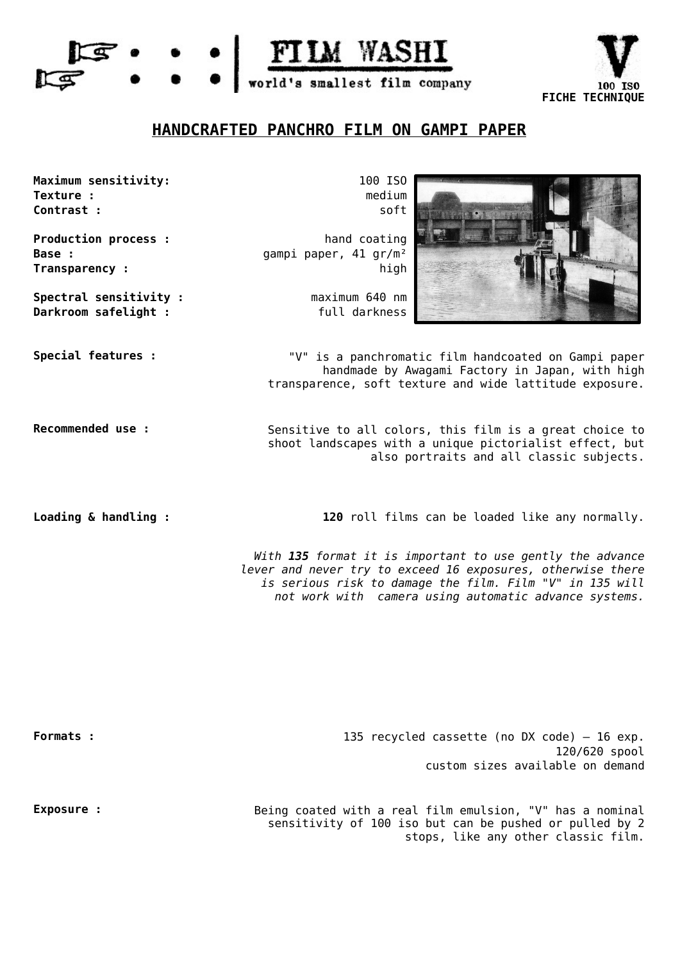



## **HANDCRAFTED PANCHRO FILM ON GAMPI PAPER**

**Maximum sensitivity:** 100 ISO **Texture : Contrast :**

**Production process : Base : Transparency :**

**Darkroom safelight :** full darkness **Spectral sensitivity :**

medium soft

hand coating gampi paper, 41 gr/m² high

maximum 640 nm



**Special features :** "V" is a panchromatic film handcoated on Gampi paper handmade by Awagami Factory in Japan, with high transparence, soft texture and wide lattitude exposure.

**Recommended use :** Sensitive to all colors, this film is a great choice to shoot landscapes with a unique pictorialist effect, but also portraits and all classic subjects.

**Loading & handling**: 120 roll films can be loaded like any normally.

With **135** format it is important to use gently the advance lever and never try to exceed 16 exposures, otherwise there is serious risk to damage the film. Film "V" in 135 will not work with camera using automatic advance systems.

135 recycled cassette (no DX code) – 16 exp. 120/620 spool custom sizes available on demand **Formats :**

**Exposure** : **Exposure :** Being coated with a real film emulsion, "V" has a nominal sensitivity of 100 iso but can be pushed or pulled by 2 stops, like any other classic film.